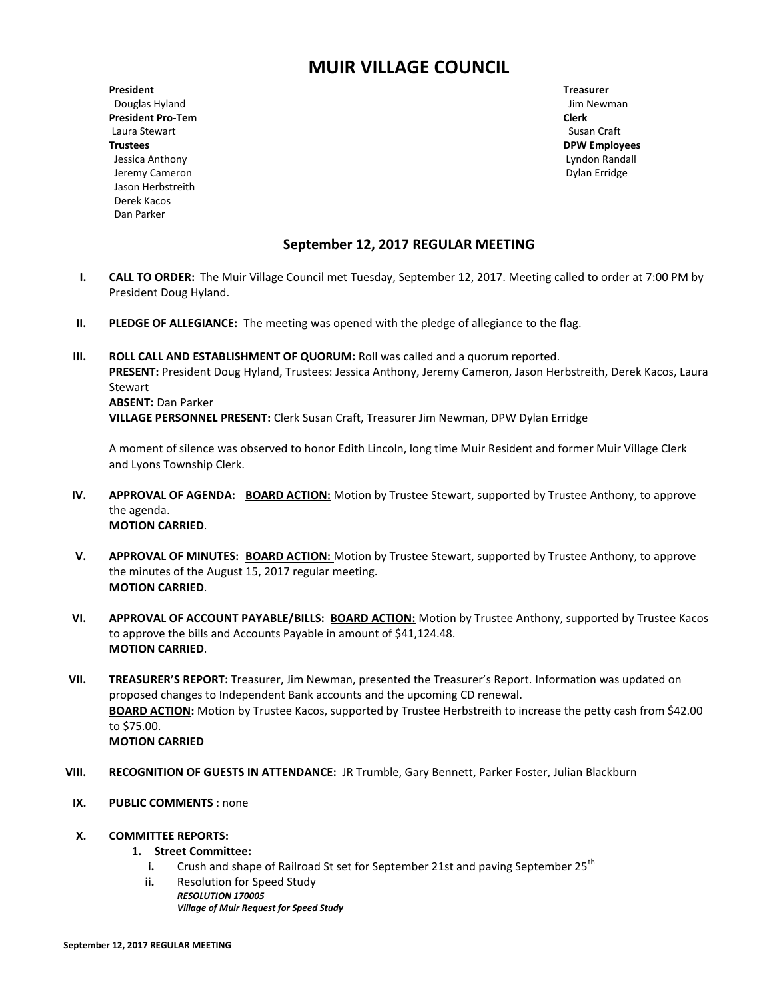# **MUIR VILLAGE COUNCIL**

**President Treasurer** Douglas Hyland Jim Newman Jim Newman Jim Newman Jim Newman Jim Newman Jim Newman Jim Newman Jim Newman Jim Newman **President Pro-Tem Clerk** Laura Stewart **Susan Craft Trustees DPW Employees** Jessica Anthony Lyndon Randall Jeremy Cameron **Dylan Erridge Dylan Erridge Dylan Erridge Dylan Erridge Dylan Erridge**  Jason Herbstreith Derek Kacos Dan Parker

## **September 12, 2017 REGULAR MEETING**

- **I. CALL TO ORDER:** The Muir Village Council met Tuesday, September 12, 2017. Meeting called to order at 7:00 PM by President Doug Hyland.
- **II. PLEDGE OF ALLEGIANCE:** The meeting was opened with the pledge of allegiance to the flag.
- **III. ROLL CALL AND ESTABLISHMENT OF QUORUM: Roll was called and a quorum reported. PRESENT:** President Doug Hyland, Trustees: Jessica Anthony, Jeremy Cameron, Jason Herbstreith, Derek Kacos, Laura Stewart **ABSENT:** Dan Parker **VILLAGE PERSONNEL PRESENT:** Clerk Susan Craft, Treasurer Jim Newman, DPW Dylan Erridge

A moment of silence was observed to honor Edith Lincoln, long time Muir Resident and former Muir Village Clerk and Lyons Township Clerk.

- **IV. APPROVAL OF AGENDA: BOARD ACTION:** Motion by Trustee Stewart, supported by Trustee Anthony, to approve the agenda. **MOTION CARRIED**.
- **V. APPROVAL OF MINUTES: BOARD ACTION:** Motion by Trustee Stewart, supported by Trustee Anthony, to approve the minutes of the August 15, 2017 regular meeting. **MOTION CARRIED**.
- **VI. APPROVAL OF ACCOUNT PAYABLE/BILLS: BOARD ACTION:** Motion by Trustee Anthony, supported by Trustee Kacos to approve the bills and Accounts Payable in amount of \$41,124.48. **MOTION CARRIED**.
- **VII. TREASURER'S REPORT:** Treasurer, Jim Newman, presented the Treasurer's Report. Information was updated on proposed changes to Independent Bank accounts and the upcoming CD renewal. **BOARD ACTION:** Motion by Trustee Kacos, supported by Trustee Herbstreith to increase the petty cash from \$42.00 to \$75.00. **MOTION CARRIED**
- **VIII. RECOGNITION OF GUESTS IN ATTENDANCE:** JR Trumble, Gary Bennett, Parker Foster, Julian Blackburn
- **IX. PUBLIC COMMENTS** : none

#### **X. COMMITTEE REPORTS:**

#### **1. Street Committee:**

- **i.** Crush and shape of Railroad St set for September 21st and paving September 25<sup>th</sup>
- **ii.** Resolution for Speed Study *RESOLUTION 170005 Village of Muir Request for Speed Study*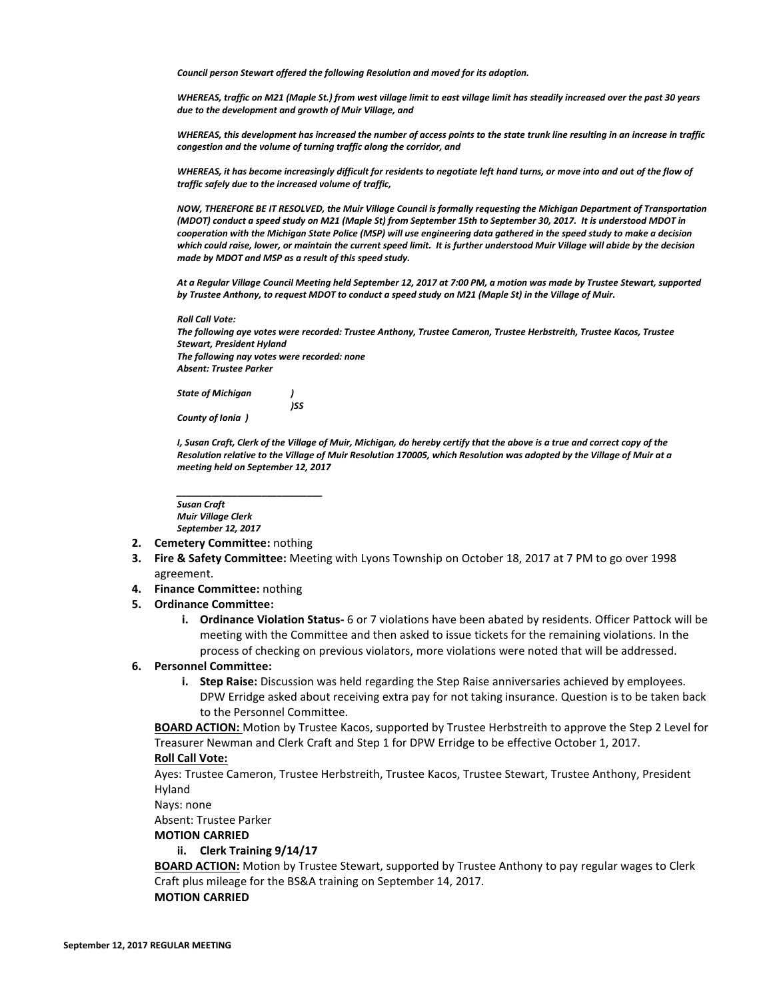*Council person Stewart offered the following Resolution and moved for its adoption.*

*WHEREAS, traffic on M21 (Maple St.) from west village limit to east village limit has steadily increased over the past 30 years due to the development and growth of Muir Village, and*

*WHEREAS, this development has increased the number of access points to the state trunk line resulting in an increase in traffic congestion and the volume of turning traffic along the corridor, and*

*WHEREAS, it has become increasingly difficult for residents to negotiate left hand turns, or move into and out of the flow of traffic safely due to the increased volume of traffic,*

*NOW, THEREFORE BE IT RESOLVED, the Muir Village Council is formally requesting the Michigan Department of Transportation (MDOT) conduct a speed study on M21 (Maple St) from September 15th to September 30, 2017. It is understood MDOT in cooperation with the Michigan State Police (MSP) will use engineering data gathered in the speed study to make a decision which could raise, lower, or maintain the current speed limit. It is further understood Muir Village will abide by the decision made by MDOT and MSP as a result of this speed study.*

*At a Regular Village Council Meeting held September 12, 2017 at 7:00 PM, a motion was made by Trustee Stewart, supported by Trustee Anthony, to request MDOT to conduct a speed study on M21 (Maple St) in the Village of Muir.*

*Roll Call Vote:*

*The following aye votes were recorded: Trustee Anthony, Trustee Cameron, Trustee Herbstreith, Trustee Kacos, Trustee Stewart, President Hyland The following nay votes were recorded: none Absent: Trustee Parker*

*State of Michigan )*

*)SS*

*County of Ionia )*

*I, Susan Craft, Clerk of the Village of Muir, Michigan, do hereby certify that the above is a true and correct copy of the Resolution relative to the Village of Muir Resolution 170005, which Resolution was adopted by the Village of Muir at a meeting held on September 12, 2017*

*Susan Craft Muir Village Clerk September 12, 2017*

*\_\_\_\_\_\_\_\_\_\_\_\_\_\_\_\_\_\_\_\_\_\_\_\_\_\_\_\_\_*

- **2. Cemetery Committee:** nothing
- **3. Fire & Safety Committee:** Meeting with Lyons Township on October 18, 2017 at 7 PM to go over 1998 agreement.
- **4. Finance Committee:** nothing
- **5. Ordinance Committee:** 
	- **i. Ordinance Violation Status-** 6 or 7 violations have been abated by residents. Officer Pattock will be meeting with the Committee and then asked to issue tickets for the remaining violations. In the process of checking on previous violators, more violations were noted that will be addressed.
- **6. Personnel Committee:** 
	- **i. Step Raise:** Discussion was held regarding the Step Raise anniversaries achieved by employees. DPW Erridge asked about receiving extra pay for not taking insurance. Question is to be taken back to the Personnel Committee.

**BOARD ACTION:** Motion by Trustee Kacos, supported by Trustee Herbstreith to approve the Step 2 Level for Treasurer Newman and Clerk Craft and Step 1 for DPW Erridge to be effective October 1, 2017.

#### **Roll Call Vote:**

Ayes: Trustee Cameron, Trustee Herbstreith, Trustee Kacos, Trustee Stewart, Trustee Anthony, President Hyland

Nays: none

Absent: Trustee Parker

#### **MOTION CARRIED**

#### **ii. Clerk Training 9/14/17**

**BOARD ACTION:** Motion by Trustee Stewart, supported by Trustee Anthony to pay regular wages to Clerk Craft plus mileage for the BS&A training on September 14, 2017. **MOTION CARRIED**